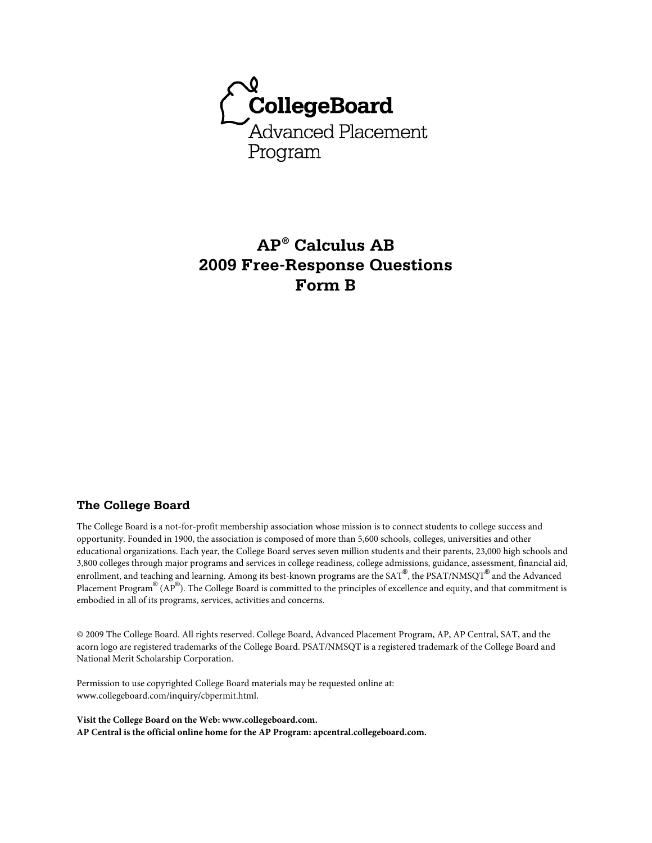

# **AP® Calculus AB 2009 Free-Response Questions Form B**

#### **The College Board**

The College Board is a not-for-profit membership association whose mission is to connect students to college success and opportunity. Founded in 1900, the association is composed of more than 5,600 schools, colleges, universities and other educational organizations. Each year, the College Board serves seven million students and their parents, 23,000 high schools and 3,800 colleges through major programs and services in college readiness, college admissions, guidance, assessment, financial aid, enrollment, and teaching and learning. Among its best-known programs are the SAT®, the PSAT/NMSQT® and the Advanced Placement Program® (AP®). The College Board is committed to the principles of excellence and equity, and that commitment is embodied in all of its programs, services, activities and concerns.

© 2009 The College Board. All rights reserved. College Board, Advanced Placement Program, AP, AP Central, SAT, and the acorn logo are registered trademarks of the College Board. PSAT/NMSQT is a registered trademark of the College Board and National Merit Scholarship Corporation.

Permission to use copyrighted College Board materials may be requested online at: www.collegeboard.com/inquiry/cbpermit.html.

**Visit the College Board on the Web: www.collegeboard.com. AP Central is the official online home for the AP Program: apcentral.collegeboard.com.**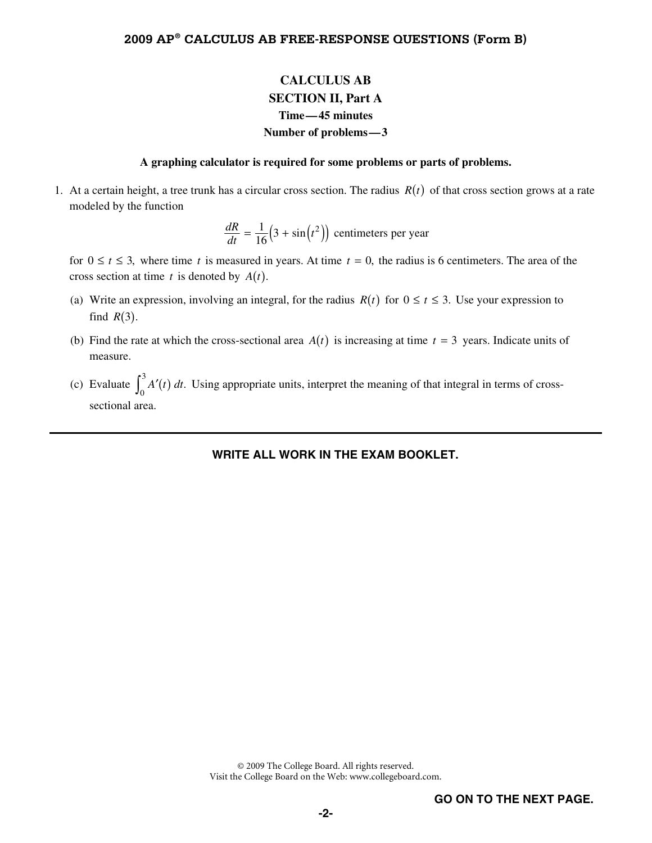# **CALCULUS AB SECTION II, Part A Time—45 minutes Number of problems—3**

#### **A graphing calculator is required for some problems or parts of problems.**

1. At a certain height, a tree trunk has a circular cross section. The radius  $R(t)$  of that cross section grows at a rate modeled by the function

$$
\frac{dR}{dt} = \frac{1}{16} \left( 3 + \sin(t^2) \right)
$$
 centimeters per year

for  $0 \le t \le 3$ , where time *t* is measured in years. At time  $t = 0$ , the radius is 6 centimeters. The area of the cross section at time  $t$  is denoted by  $A(t)$ .

- (a) Write an expression, involving an integral, for the radius  $R(t)$  for  $0 \le t \le 3$ . Use your expression to find  $R(3)$ .
- (b) Find the rate at which the cross-sectional area  $A(t)$  is increasing at time  $t = 3$  years. Indicate units of measure.
- (c) Evaluate  $\int_0^3 A'(t) dt$ . Using appropriate units, interpret the meaning of that integral in terms of crosssectional area.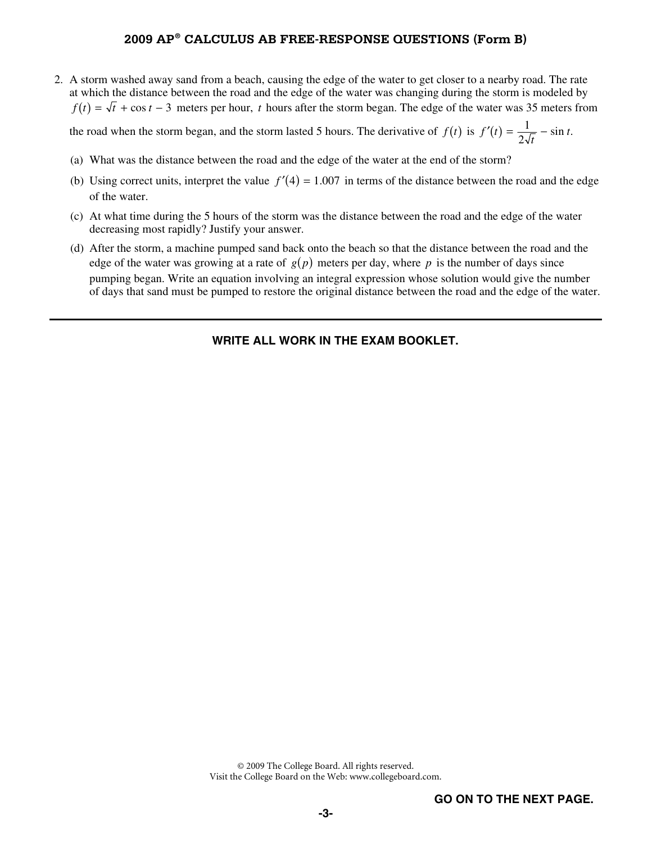### **2009 AP® CALCULUS AB FREE-RESPONSE QUESTIONS (Form B)**

 2. A storm washed away sand from a beach, causing the edge of the water to get closer to a nearby road. The rate at which the distance between the road and the edge of the water was changing during the storm is modeled by  $f(t) = \sqrt{t} + \cos t - 3$  meters per hour, *t* hours after the storm began. The edge of the water was 35 meters from

the road when the storm began, and the storm lasted 5 hours. The derivative of  $f(t)$  is  $f'(t) = \frac{1}{2\sqrt{t}} - \sin t$ .

- (a) What was the distance between the road and the edge of the water at the end of the storm?
- (b) Using correct units, interpret the value  $f'(4) = 1.007$  in terms of the distance between the road and the edge of the water.
- (c) At what time during the 5 hours of the storm was the distance between the road and the edge of the water decreasing most rapidly? Justify your answer.
- (d) After the storm, a machine pumped sand back onto the beach so that the distance between the road and the edge of the water was growing at a rate of  $g(p)$  meters per day, where p is the number of days since pumping began. Write an equation involving an integral expression whose solution would give the number of days that sand must be pumped to restore the original distance between the road and the edge of the water.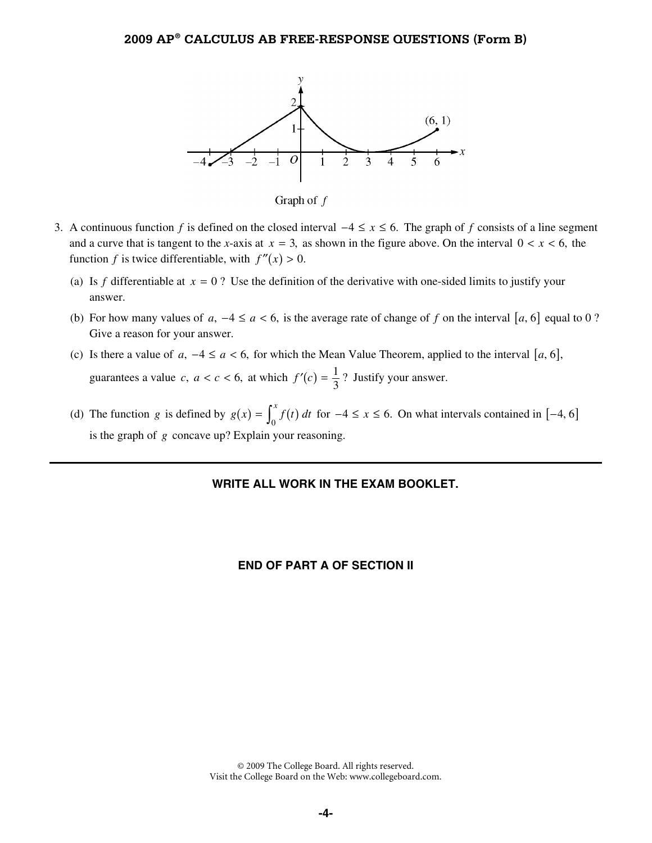

Graph of  $f$ 

- 3. A continuous function f is defined on the closed interval  $-4 \le x \le 6$ . The graph of f consists of a line segment and a curve that is tangent to the *x*-axis at  $x = 3$ , as shown in the figure above. On the interval  $0 < x < 6$ , the function *f* is twice differentiable, with  $f''(x) > 0$ .
	- (a) Is f differentiable at  $x = 0$ ? Use the definition of the derivative with one-sided limits to justify your answer.
	- (b) For how many values of  $a, -4 \le a < 6$ , is the average rate of change of f on the interval [a, 6] equal to 0 ? Give a reason for your answer.
	- (c) Is there a value of  $a, -4 \le a < 6$ , for which the Mean Value Theorem, applied to the interval [a, 6], guarantees a value *c*,  $a < c < 6$ , at which  $f'(c) = \frac{1}{3}$ ? Justify your answer.
	- (d) The function *g* is defined by  $g(x) = \int_0^x f(t) dt$  for  $-4 \le x \le 6$ . On what intervals contained in [-4, 6] is the graph of *g* concave up? Explain your reasoning.

#### **WRITE ALL WORK IN THE EXAM BOOKLET.**

#### **END OF PART A OF SECTION II**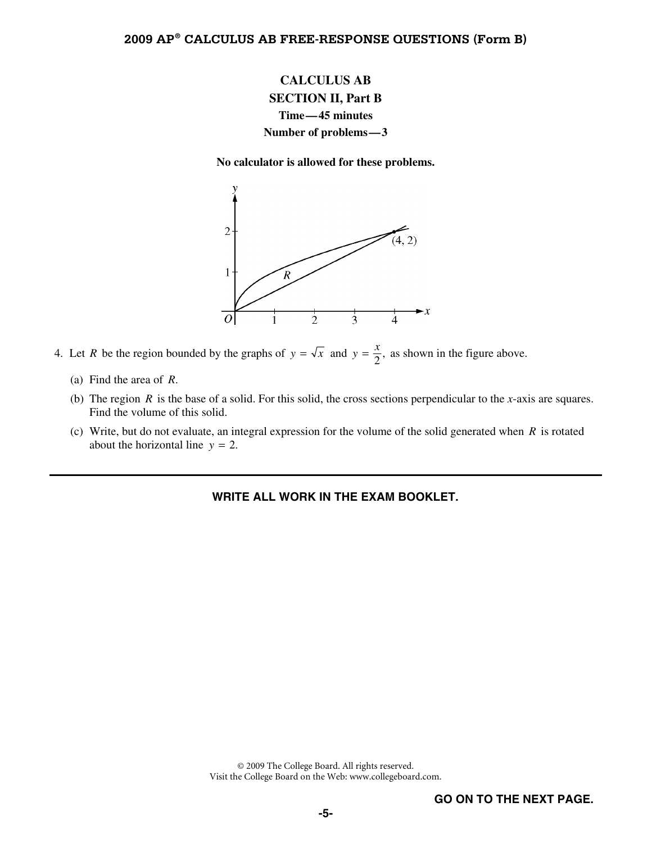# **CALCULUS AB SECTION II, Part B Time—45 minutes Number of problems—3**

**No calculator is allowed for these problems.** 



- 4. Let *R* be the region bounded by the graphs of  $y = \sqrt{x}$  and  $y = \frac{x}{2}$ , as shown in the figure above.
	- (a) Find the area of *R*.
	- (b) The region *R* is the base of a solid. For this solid, the cross sections perpendicular to the *x*-axis are squares. Find the volume of this solid.
	- (c) Write, but do not evaluate, an integral expression for the volume of the solid generated when *R* is rotated about the horizontal line  $y = 2$ .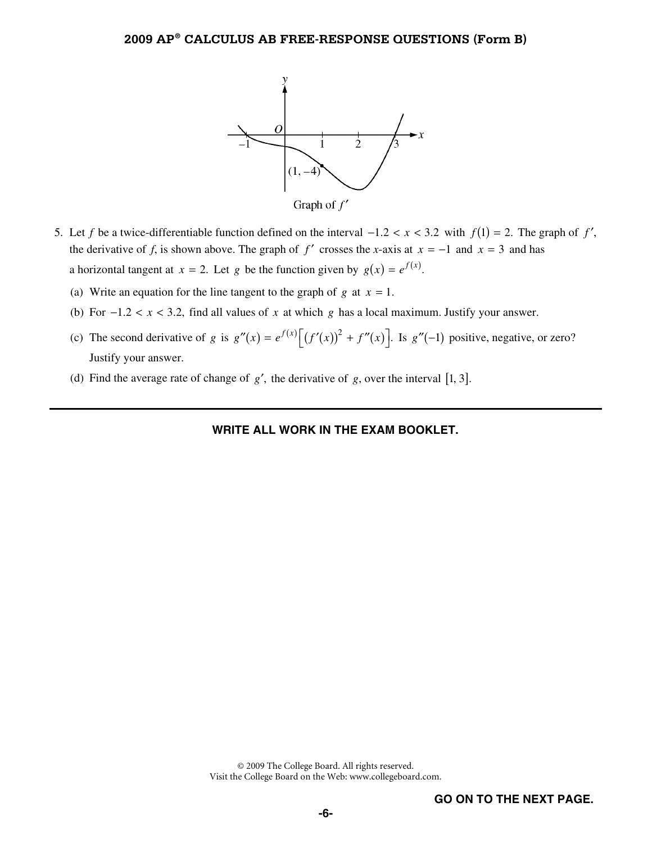

Graph of  $f'$ 

- 5. Let *f* be a twice-differentiable function defined on the interval  $-1.2 < x < 3.2$  with  $f(1) = 2$ . The graph of *f'*, the derivative of *f*, is shown above. The graph of *f'* crosses the *x*-axis at  $x = -1$  and  $x = 3$  and has a horizontal tangent at  $x = 2$ . Let *g* be the function given by  $g(x) = e^{f(x)}$ .
	- (a) Write an equation for the line tangent to the graph of  $g$  at  $x = 1$ .
	- (b) For  $-1.2 < x < 3.2$ , find all values of x at which g has a local maximum. Justify your answer.
	- (c) The second derivative of *g* is  $g''(x) = e^{f(x)} \left[ (f'(x))^2 + f''(x) \right]$ . Is  $g''(-1)$  positive, negative, or zero? Justify your answer.
	- (d) Find the average rate of change of  $g'$ , the derivative of  $g$ , over the interval [1, 3].